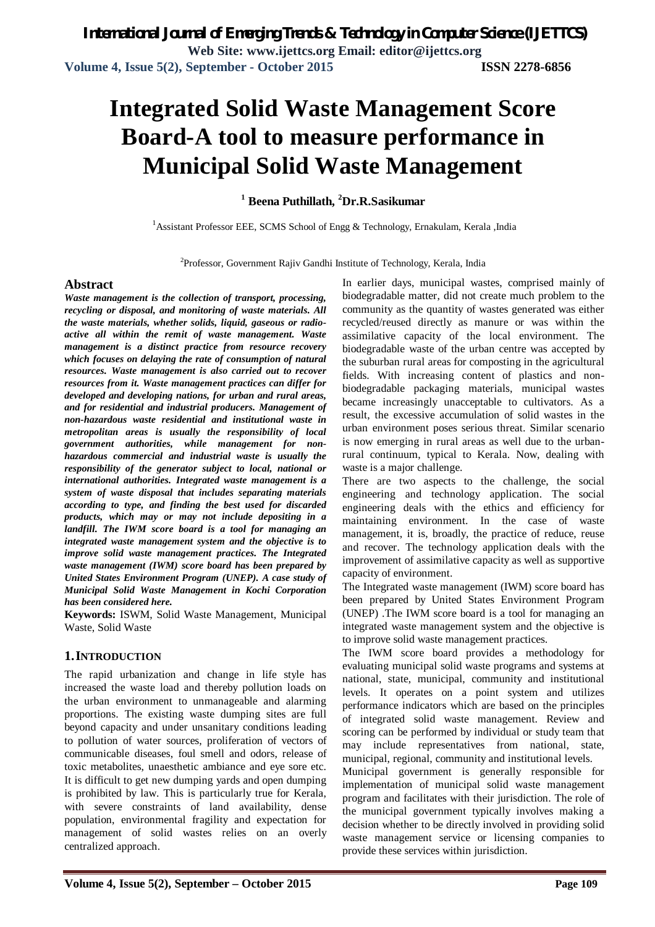# **Integrated Solid Waste Management Score Board-A tool to measure performance in Municipal Solid Waste Management**

**<sup>1</sup> Beena Puthillath, <sup>2</sup>Dr.R.Sasikumar**

<sup>1</sup> Assistant Professor EEE, SCMS School of Engg  $\&$  Technology, Ernakulam, Kerala ,India

<sup>2</sup>Professor, Government Rajiv Gandhi Institute of Technology, Kerala, India

### **Abstract**

*Waste management is the collection of transport, processing, recycling or disposal, and monitoring of waste materials. All the waste materials, whether solids, liquid, gaseous or radioactive all within the remit of waste management. Waste management is a distinct practice from resource recovery which focuses on delaying the rate of consumption of natural resources. Waste management is also carried out to recover resources from it. Waste management practices can differ for developed and developing nations, for urban and rural areas, and for residential and industrial producers. Management of non-hazardous waste residential and institutional waste in metropolitan areas is usually the responsibility of local government authorities, while management for nonhazardous commercial and industrial waste is usually the responsibility of the generator subject to local, national or international authorities. Integrated waste management is a system of waste disposal that includes separating materials according to type, and finding the best used for discarded products, which may or may not include depositing in a landfill. The IWM score board is a tool for managing an integrated waste management system and the objective is to improve solid waste management practices. The Integrated waste management (IWM) score board has been prepared by United States Environment Program (UNEP). A case study of Municipal Solid Waste Management in Kochi Corporation has been considered here.*

**Keywords:** ISWM, Solid Waste Management, Municipal Waste, Solid Waste

# **1.INTRODUCTION**

The rapid urbanization and change in life style has increased the waste load and thereby pollution loads on the urban environment to unmanageable and alarming proportions. The existing waste dumping sites are full beyond capacity and under unsanitary conditions leading to pollution of water sources, proliferation of vectors of communicable diseases, foul smell and odors, release of toxic metabolites, unaesthetic ambiance and eye sore etc. It is difficult to get new dumping yards and open dumping is prohibited by law. This is particularly true for Kerala, with severe constraints of land availability, dense population, environmental fragility and expectation for management of solid wastes relies on an overly centralized approach.

In earlier days, municipal wastes, comprised mainly of biodegradable matter, did not create much problem to the community as the quantity of wastes generated was either recycled/reused directly as manure or was within the assimilative capacity of the local environment. The biodegradable waste of the urban centre was accepted by the suburban rural areas for composting in the agricultural fields. With increasing content of plastics and nonbiodegradable packaging materials, municipal wastes became increasingly unacceptable to cultivators. As a result, the excessive accumulation of solid wastes in the urban environment poses serious threat. Similar scenario is now emerging in rural areas as well due to the urbanrural continuum, typical to Kerala. Now, dealing with waste is a major challenge.

There are two aspects to the challenge, the social engineering and technology application. The social engineering deals with the ethics and efficiency for maintaining environment. In the case of waste management, it is, broadly, the practice of reduce, reuse and recover. The technology application deals with the improvement of assimilative capacity as well as supportive capacity of environment.

The Integrated waste management (IWM) score board has been prepared by United States Environment Program (UNEP) .The IWM score board is a tool for managing an integrated waste management system and the objective is to improve solid waste management practices.

The IWM score board provides a methodology for evaluating municipal solid waste programs and systems at national, state, municipal, community and institutional levels. It operates on a point system and utilizes performance indicators which are based on the principles of integrated solid waste management. Review and scoring can be performed by individual or study team that may include representatives from national, state, municipal, regional, community and institutional levels.

Municipal government is generally responsible for implementation of municipal solid waste management program and facilitates with their jurisdiction. The role of the municipal government typically involves making a decision whether to be directly involved in providing solid waste management service or licensing companies to provide these services within jurisdiction.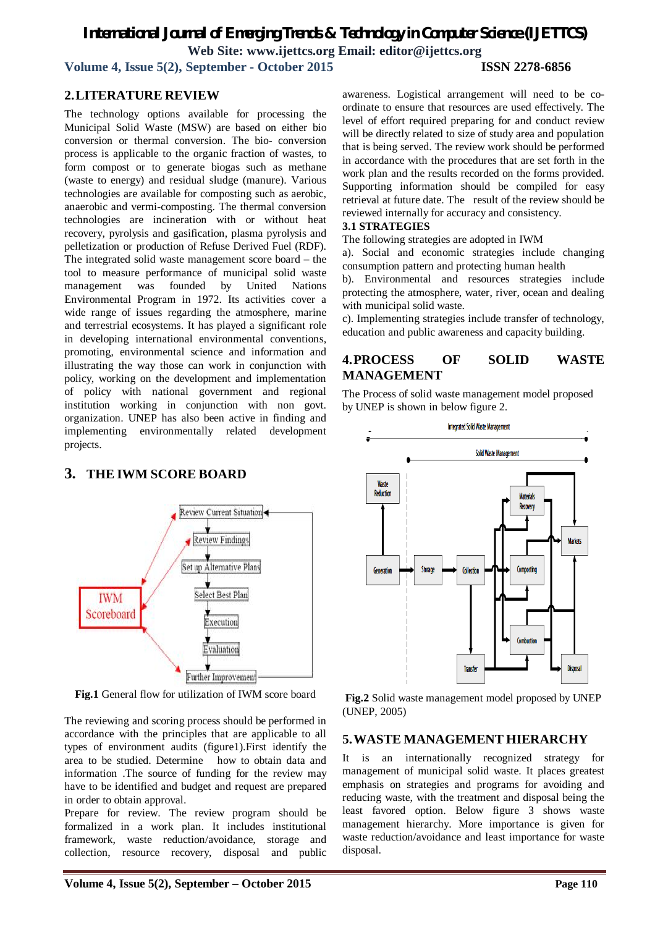**Volume 4, Issue 5(2), September - October 2015 ISSN 2278-6856**

# **2.LITERATURE REVIEW**

The technology options available for processing the Municipal Solid Waste (MSW) are based on either bio conversion or thermal conversion. The bio- conversion process is applicable to the organic fraction of wastes, to form compost or to generate biogas such as methane (waste to energy) and residual sludge (manure). Various technologies are available for composting such as aerobic, anaerobic and vermi-composting. The thermal conversion technologies are incineration with or without heat recovery, pyrolysis and gasification, plasma pyrolysis and pelletization or production of Refuse Derived Fuel (RDF). The integrated solid waste management score board – the tool to measure performance of municipal solid waste management was founded by United Nations Environmental Program in 1972. Its activities cover a wide range of issues regarding the atmosphere, marine and terrestrial ecosystems. It has played a significant role in developing international environmental conventions, promoting, environmental science and information and illustrating the way those can work in conjunction with policy, working on the development and implementation of policy with national government and regional institution working in conjunction with non govt. organization. UNEP has also been active in finding and implementing environmentally related development projects.

# **3. THE IWM SCORE BOARD**



**Fig.1** General flow for utilization of IWM score board

The reviewing and scoring process should be performed in accordance with the principles that are applicable to all types of environment audits (figure1).First identify the area to be studied. Determine how to obtain data and information .The source of funding for the review may have to be identified and budget and request are prepared in order to obtain approval.

Prepare for review. The review program should be formalized in a work plan. It includes institutional framework, waste reduction/avoidance, storage and collection, resource recovery, disposal and public

awareness. Logistical arrangement will need to be coordinate to ensure that resources are used effectively. The level of effort required preparing for and conduct review will be directly related to size of study area and population that is being served. The review work should be performed in accordance with the procedures that are set forth in the work plan and the results recorded on the forms provided. Supporting information should be compiled for easy retrieval at future date. The result of the review should be reviewed internally for accuracy and consistency.

### **3.1 STRATEGIES**

The following strategies are adopted in IWM

a). Social and economic strategies include changing consumption pattern and protecting human health

b). Environmental and resources strategies include protecting the atmosphere, water, river, ocean and dealing with municipal solid waste.

c). Implementing strategies include transfer of technology, education and public awareness and capacity building.

# **4.PROCESS OF SOLID WASTE MANAGEMENT**

The Process of solid waste management model proposed by UNEP is shown in below figure 2.



**Fig.2** Solid waste management model proposed by UNEP (UNEP, 2005)

### **5.WASTE MANAGEMENT HIERARCHY**

It is an internationally recognized strategy for management of municipal solid waste. It places greatest emphasis on strategies and programs for avoiding and reducing waste, with the treatment and disposal being the least favored option. Below figure 3 shows waste management hierarchy. More importance is given for waste reduction/avoidance and least importance for waste disposal.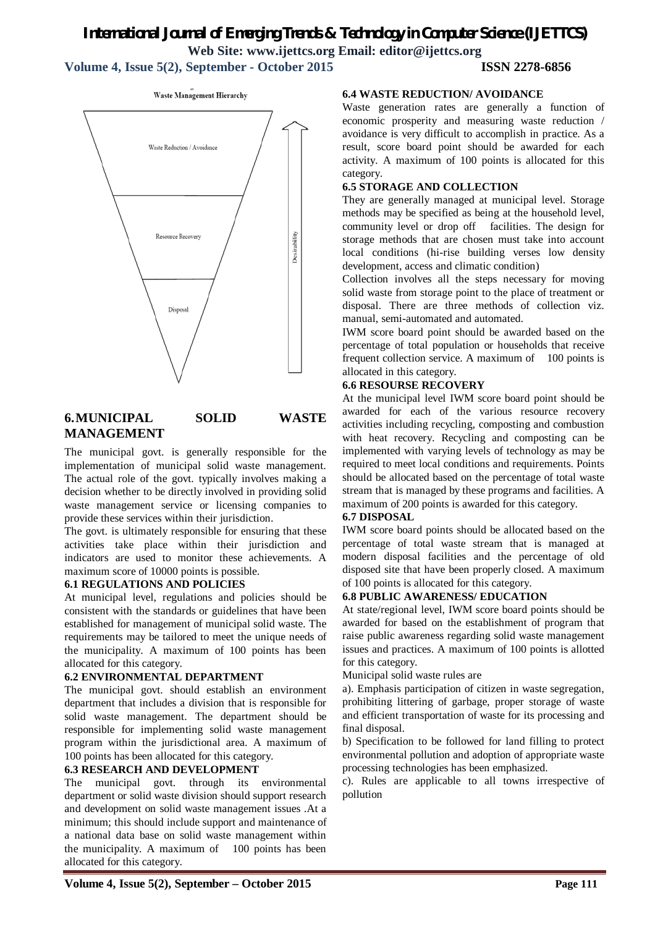**Volume 4, Issue 5(2), September - October 2015 ISSN 2278-6856**

Waste Management Hierarchy Waste Reduction / Avoidance Resource Recovery Desirability Disposal

# **6.MUNICIPAL SOLID WASTE MANAGEMENT**

The municipal govt. is generally responsible for the implementation of municipal solid waste management. The actual role of the govt. typically involves making a decision whether to be directly involved in providing solid waste management service or licensing companies to provide these services within their jurisdiction.

The govt. is ultimately responsible for ensuring that these activities take place within their jurisdiction and indicators are used to monitor these achievements. A maximum score of 10000 points is possible.

### **6.1 REGULATIONS AND POLICIES**

At municipal level, regulations and policies should be consistent with the standards or guidelines that have been established for management of municipal solid waste. The requirements may be tailored to meet the unique needs of the municipality. A maximum of 100 points has been allocated for this category.

# **6.2 ENVIRONMENTAL DEPARTMENT**

The municipal govt. should establish an environment department that includes a division that is responsible for solid waste management. The department should be responsible for implementing solid waste management program within the jurisdictional area. A maximum of 100 points has been allocated for this category.

### **6.3 RESEARCH AND DEVELOPMENT**

The municipal govt. through its environmental department or solid waste division should support research and development on solid waste management issues .At a minimum; this should include support and maintenance of a national data base on solid waste management within the municipality. A maximum of 100 points has been allocated for this category.

### **6.4 WASTE REDUCTION/ AVOIDANCE**

Waste generation rates are generally a function of economic prosperity and measuring waste reduction / avoidance is very difficult to accomplish in practice. As a result, score board point should be awarded for each activity. A maximum of 100 points is allocated for this category.

### **6.5 STORAGE AND COLLECTION**

They are generally managed at municipal level. Storage methods may be specified as being at the household level, community level or drop off facilities. The design for storage methods that are chosen must take into account local conditions (hi-rise building verses low density development, access and climatic condition)

Collection involves all the steps necessary for moving solid waste from storage point to the place of treatment or disposal. There are three methods of collection viz. manual, semi-automated and automated.

IWM score board point should be awarded based on the percentage of total population or households that receive frequent collection service. A maximum of 100 points is allocated in this category.

### **6.6 RESOURSE RECOVERY**

At the municipal level IWM score board point should be awarded for each of the various resource recovery activities including recycling, composting and combustion with heat recovery. Recycling and composting can be implemented with varying levels of technology as may be required to meet local conditions and requirements. Points should be allocated based on the percentage of total waste stream that is managed by these programs and facilities. A maximum of 200 points is awarded for this category.

### **6.7 DISPOSAL**

IWM score board points should be allocated based on the percentage of total waste stream that is managed at modern disposal facilities and the percentage of old disposed site that have been properly closed. A maximum of 100 points is allocated for this category.

### **6.8 PUBLIC AWARENESS/ EDUCATION**

At state/regional level, IWM score board points should be awarded for based on the establishment of program that raise public awareness regarding solid waste management issues and practices. A maximum of 100 points is allotted for this category.

Municipal solid waste rules are

a). Emphasis participation of citizen in waste segregation, prohibiting littering of garbage, proper storage of waste and efficient transportation of waste for its processing and final disposal.

b) Specification to be followed for land filling to protect environmental pollution and adoption of appropriate waste processing technologies has been emphasized.

c). Rules are applicable to all towns irrespective of pollution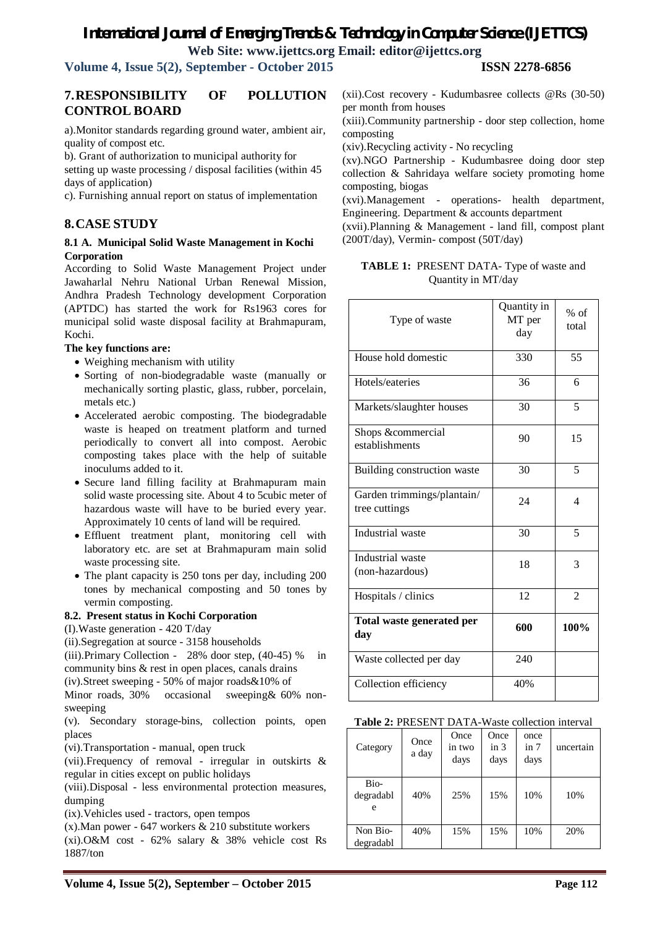# *International Journal of Emerging Trends & Technology in Computer Science (IJETTCS)*

**Web Site: www.ijettcs.org Email: editor@ijettcs.org** 

**Volume 4, Issue 5(2), September - October 2015 ISSN 2278-6856**

# **7.RESPONSIBILITY OF POLLUTION CONTROL BOARD**

a).Monitor standards regarding ground water, ambient air, quality of compost etc.

b). Grant of authorization to municipal authority for

setting up waste processing / disposal facilities (within 45 days of application)

c). Furnishing annual report on status of implementation

# **8.CASE STUDY**

### **8.1 A. Municipal Solid Waste Management in Kochi Corporation**

According to Solid Waste Management Project under Jawaharlal Nehru National Urban Renewal Mission, Andhra Pradesh Technology development Corporation (APTDC) has started the work for Rs1963 cores for municipal solid waste disposal facility at Brahmapuram, Kochi.

### **The key functions are:**

- Weighing mechanism with utility
- Sorting of non-biodegradable waste (manually or mechanically sorting plastic, glass, rubber, porcelain, metals etc.)
- Accelerated aerobic composting. The biodegradable waste is heaped on treatment platform and turned periodically to convert all into compost. Aerobic composting takes place with the help of suitable inoculums added to it.
- Secure land filling facility at Brahmapuram main solid waste processing site. About 4 to 5cubic meter of hazardous waste will have to be buried every year. Approximately 10 cents of land will be required.
- Effluent treatment plant, monitoring cell with laboratory etc. are set at Brahmapuram main solid waste processing site.
- The plant capacity is 250 tons per day, including 200 tones by mechanical composting and 50 tones by vermin composting.

### **8.2. Present status in Kochi Corporation**

(I).Waste generation - 420 T/day

(ii).Segregation at source - 3158 households

(iii).Primary Collection - 28% door step, (40-45) % in community bins & rest in open places, canals drains

(iv).Street sweeping - 50% of major roads&10% of

Minor roads, 30% occasional sweeping & 60% nonsweeping

(v). Secondary storage-bins, collection points, open places

(vi).Transportation - manual, open truck

(vii).Frequency of removal - irregular in outskirts & regular in cities except on public holidays

(viii).Disposal - less environmental protection measures, dumping

(ix).Vehicles used - tractors, open tempos

(x).Man power - 647 workers & 210 substitute workers (xi).O&M cost - 62% salary & 38% vehicle cost Rs 1887/ton

(xii).Cost recovery - Kudumbasree collects @Rs (30-50) per month from houses

(xiii).Community partnership - door step collection, home composting

(xiv).Recycling activity - No recycling

(xv).NGO Partnership - Kudumbasree doing door step collection & Sahridaya welfare society promoting home composting, biogas

(xvi).Management - operations- health department, Engineering. Department & accounts department

(xvii).Planning & Management - land fill, compost plant (200T/day), Vermin- compost (50T/day)

### **TABLE 1:** PRESENT DATA- Type of waste and Quantity in MT/day

| Type of waste                               | Quantity in<br>MT per<br>day | $%$ of<br>total |
|---------------------------------------------|------------------------------|-----------------|
| House hold domestic                         | 330                          | 55              |
| Hotels/eateries                             | 36                           | 6               |
| Markets/slaughter houses                    | 30                           | 5               |
| Shops &commercial<br>establishments         | 90                           | 15              |
| Building construction waste                 | 30                           | 5               |
| Garden trimmings/plantain/<br>tree cuttings | 24                           | 4               |
| Industrial waste                            | 30                           | 5               |
| Industrial waste<br>(non-hazardous)         | 18                           | 3               |
| Hospitals / clinics                         | 12                           | $\overline{2}$  |
| Total waste generated per<br>day            | 600                          | 100%            |
| Waste collected per day                     | 240                          |                 |
| Collection efficiency                       | 40%                          |                 |

### **Table 2:** PRESENT DATA-Waste collection interval

| Category               | Once<br>a day | Once<br>in two<br>days | Once<br>in 3<br>days | once<br>in 7<br>days | uncertain |
|------------------------|---------------|------------------------|----------------------|----------------------|-----------|
| Bio-<br>degradabl<br>e | 40%           | 25%                    | 15%                  | 10%                  | 10%       |
| Non Bio-<br>degradabl  | 40%           | 15%                    | 15%                  | 10%                  | 20%       |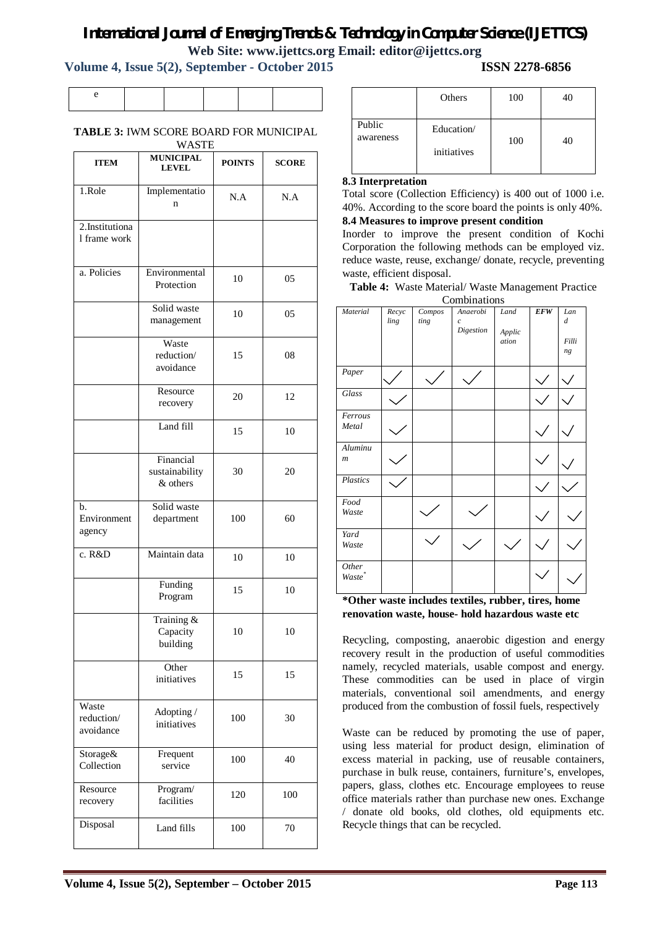**Volume 4, Issue 5(2), September - October 2015 ISSN 2278-6856**

# **TABLE 3:** IWM SCORE BOARD FOR MUNICIPAL

| WASTE                             |                                               |               |              |  |  |  |
|-----------------------------------|-----------------------------------------------|---------------|--------------|--|--|--|
| <b>ITEM</b>                       | <b>MUNICIPAL</b><br><b>LEVEL</b>              | <b>POINTS</b> | <b>SCORE</b> |  |  |  |
| 1.Role                            | Implementatio<br>n                            | N.A           | N.A          |  |  |  |
| $2.$ Institutiona<br>1 frame work |                                               |               |              |  |  |  |
| a. Policies                       | Environmental<br>Protection                   | 10            | 05           |  |  |  |
|                                   | Solid waste<br>management                     | 10            | 05           |  |  |  |
|                                   | Waste<br>reduction/<br>avoidance              | 15            | 08           |  |  |  |
|                                   | Resource<br>recovery                          | 20            | 12           |  |  |  |
|                                   | Land fill                                     | 15            | 10           |  |  |  |
|                                   | Financial<br>30<br>sustainability<br>& others |               | 20           |  |  |  |
| b.<br>Environment<br>agency       | Solid waste<br>department                     | 100           | 60           |  |  |  |
| c. R&D                            | Maintain data                                 | 10            | 10           |  |  |  |
|                                   | Funding<br>Program                            | 15            | 10           |  |  |  |
|                                   | Training &<br>Capacity<br>building            | 10            | 10           |  |  |  |
|                                   | Other<br>initiatives                          | 15            | 15           |  |  |  |
| Waste<br>reduction/<br>avoidance  | Adopting /<br>initiatives                     | 100           | 30           |  |  |  |
| Storage&<br>Collection            | Frequent<br>service                           | 100           | 40           |  |  |  |
| Resource<br>recovery              | Program/<br>facilities                        | 120           | 100          |  |  |  |
| Disposal                          | Land fills                                    | 100           | 70           |  |  |  |

|                     | Others                    | 100 |  |
|---------------------|---------------------------|-----|--|
| Public<br>awareness | Education/<br>initiatives | 100 |  |

### **8.3 Interpretation**

Total score (Collection Efficiency) is 400 out of 1000 i.e. 40%. According to the score board the points is only 40%. **8.4 Measures to improve present condition**

Inorder to improve the present condition of Kochi Corporation the following methods can be employed viz. reduce waste, reuse, exchange/ donate, recycle, preventing waste, efficient disposal.

**Table 4:** Waste Material/ Waste Management Practice

|                             |               |                | Combinations                            |                         |            |                                        |
|-----------------------------|---------------|----------------|-----------------------------------------|-------------------------|------------|----------------------------------------|
| Material                    | Recyc<br>ling | Compos<br>ting | Anaerobi<br>$\overline{c}$<br>Digestion | Land<br>Applic<br>ation | <b>EFW</b> | Lan<br>$\boldsymbol{d}$<br>Filli<br>ng |
| Paper                       |               |                |                                         |                         |            |                                        |
| Glass                       |               |                |                                         |                         |            |                                        |
| Ferrous<br>Metal            |               |                |                                         |                         |            |                                        |
| Aluminu<br>$\boldsymbol{m}$ |               |                |                                         |                         |            |                                        |
| Plastics                    |               |                |                                         |                         |            |                                        |
| Food<br>Waste               |               |                |                                         |                         |            |                                        |
| Yard<br>Waste               |               |                |                                         |                         |            |                                        |
| Other<br>Waste <sup>*</sup> |               |                |                                         |                         |            |                                        |

**\*Other waste includes textiles, rubber, tires, home renovation waste, house- hold hazardous waste etc**

Recycling, composting, anaerobic digestion and energy recovery result in the production of useful commodities namely, recycled materials, usable compost and energy. These commodities can be used in place of virgin materials, conventional soil amendments, and energy produced from the combustion of fossil fuels, respectively

Waste can be reduced by promoting the use of paper, using less material for product design, elimination of excess material in packing, use of reusable containers, purchase in bulk reuse, containers, furniture's, envelopes, papers, glass, clothes etc. Encourage employees to reuse office materials rather than purchase new ones. Exchange / donate old books, old clothes, old equipments etc. Recycle things that can be recycled.